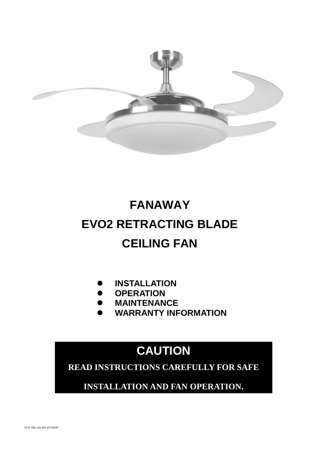

# **FANAWAY EVO2 RETRACTING BLADE CEILING FAN**

- **INSTALLATION**
- **OPERATION**
- $\bullet$  MAINTENANCE
- **WARRANTY INFORMATION**

# **CAUTION**

**READ INSTRUCTIONS CAREFULLY FOR SAFE** 

**INSTALLATION AND FAN OPERATION.**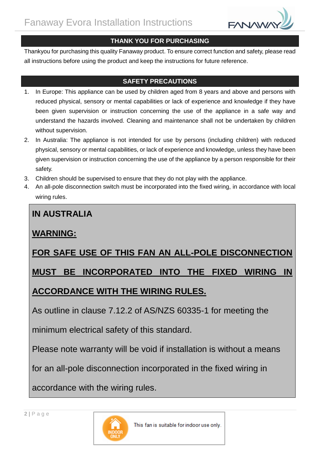

## **THANK YOU FOR PURCHASING**

Thankyou for purchasing this quality Fanaway product. To ensure correct function and safety, please read all instructions before using the product and keep the instructions for future reference.

## **SAFETY PRECAUTIONS**

- 1. In Europe: This appliance can be used by children aged from 8 years and above and persons with reduced physical, sensory or mental capabilities or lack of experience and knowledge if they have been given supervision or instruction concerning the use of the appliance in a safe way and understand the hazards involved. Cleaning and maintenance shall not be undertaken by children without supervision.
- 2. In Australia: The appliance is not intended for use by persons (including children) with reduced physical, sensory or mental capabilities, or lack of experience and knowledge, unless they have been given supervision or instruction concerning the use of the appliance by a person responsible for their safety.
- 3. Children should be supervised to ensure that they do not play with the appliance.
- 4. An all-pole disconnection switch must be incorporated into the fixed wiring, in accordance with local wiring rules.

# **IN AUSTRALIA**

# **WARNING:**

# **FOR SAFE USE OF THIS FAN AN ALL-POLE DISCONNECTION**

# **MUST BE INCORPORATED INTO THE FIXED WIRING IN**

# **ACCORDANCE WITH THE WIRING RULES.**

As outline in clause 7.12.2 of AS/NZS 60335-1 for meeting the

minimum electrical safety of this standard.

Please note warranty will be void if installation is without a means

for an all-pole disconnection incorporated in the fixed wiring in

accordance with the wiring rules.

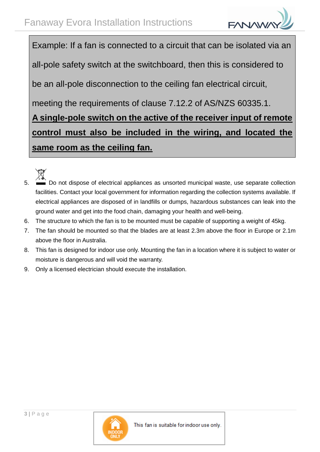Example: If a fan is connected to a circuit that can be isolated via an all-pole safety switch at the switchboard, then this is considered to be an all-pole disconnection to the ceiling fan electrical circuit, meeting the requirements of clause 7.12.2 of AS/NZS 60335.1. **A single-pole switch on the active of the receiver input of remote control must also be included in the wiring, and located the same room as the ceiling fan.**

- 5. Do not dispose of electrical appliances as unsorted municipal waste, use separate collection facilities. Contact your local government for information regarding the collection systems available. If electrical appliances are disposed of in landfills or dumps, hazardous substances can leak into the ground water and get into the food chain, damaging your health and well-being.
- 6. The structure to which the fan is to be mounted must be capable of supporting a weight of 45kg.
- 7. The fan should be mounted so that the blades are at least 2.3m above the floor in Europe or 2.1m above the floor in Australia.
- 8. This fan is designed for indoor use only. Mounting the fan in a location where it is subject to water or moisture is dangerous and will void the warranty.
- 9. Only a licensed electrician should execute the installation.

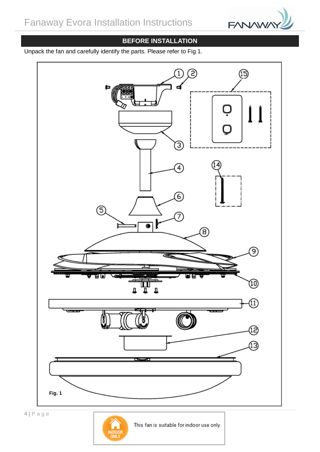

# **BEFORE INSTALLATION**

Unpack the fan and carefully identify the parts. Please refer to Fig 1.

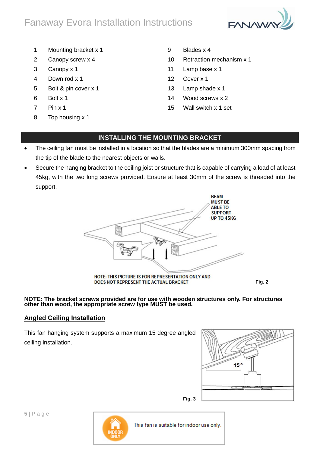

- 1 Mounting bracket x 1 9 Blades x 4
- 
- 
- 4 Down rod x 1 12 Cover x 1
- 5 Bolt & pin cover x 1 13 Lamp shade x 1
- 
- 
- 8 Top housing x 1
- 
- 2 Canopy screw x 4 10 Retraction mechanism x 1
- 3 Canopy x 1 11 Lamp base x 1
	-
	-
- $6$  Bolt x 1 14 Wood screws x 2
- 7 Pin x 1 15 Wall switch x 1 set

### **INSTALLING THE MOUNTING BRACKET**

- The ceiling fan must be installed in a location so that the blades are a minimum 300mm spacing from the tip of the blade to the nearest objects or walls.
- Secure the hanging bracket to the ceiling joist or structure that is capable of carrying a load of at least 45kg, with the two long screws provided. Ensure at least 30mm of the screw is threaded into the support.



**NOTE: The bracket screws provided are for use with wooden structures only. For structures other than wood, the appropriate screw type MUST be used.**

#### **Angled Ceiling Installation**

This fan hanging system supports a maximum 15 degree angled ceiling installation.



**Fig. 2**

**Fig. 3**

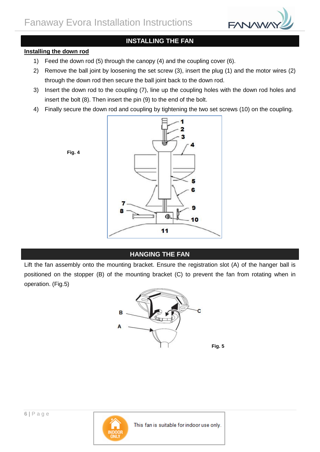

## **INSTALLING THE FAN**

#### **Installing the down rod**

- 1) Feed the down rod (5) through the canopy (4) and the coupling cover (6).
- 2) Remove the ball joint by loosening the set screw (3), insert the plug (1) and the motor wires (2) through the down rod then secure the ball joint back to the down rod.
- 3) Insert the down rod to the coupling (7), line up the coupling holes with the down rod holes and insert the bolt (8). Then insert the pin (9) to the end of the bolt.
- 4) Finally secure the down rod and coupling by tightening the two set screws (10) on the coupling.



#### **HANGING THE FAN**

Lift the fan assembly onto the mounting bracket. Ensure the registration slot (A) of the hanger ball is positioned on the stopper (B) of the mounting bracket (C) to prevent the fan from rotating when in operation. (Fig.5)



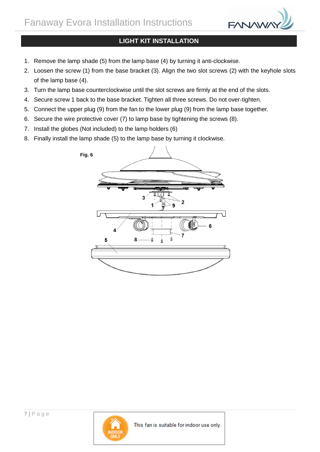

## **LIGHT KIT INSTALLATION**

- 1. Remove the lamp shade (5) from the lamp base (4) by turning it anti-clockwise.
- 2. Loosen the screw (1) from the base bracket (3). Align the two slot screws (2) with the keyhole slots of the lamp base (4).
- 3. Turn the lamp base counterclockwise until the slot screws are firmly at the end of the slots.
- 4. Secure screw 1 back to the base bracket. Tighten all three screws. Do not over-tighten.
- 5. Connect the upper plug (9) from the fan to the lower plug (9) from the lamp base together.
- 6. Secure the wire protective cover (7) to lamp base by tightening the screws (8).
- 7. Install the globes (Not included) to the lamp holders (6)
- 8. Finally install the lamp shade (5) to the lamp base by turning it clockwise.





**7 |** P a g e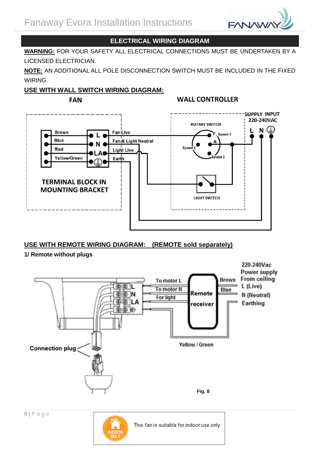

## **ELECTRICAL WIRING DIAGRAM**

**WARNING:** FOR YOUR SAFETY ALL ELECTRICAL CONNECTIONS MUST BE UNDERTAKEN BY A LICENSED ELECTRICIAN.

**NOTE:** AN ADDITIONAL ALL POLE DISCONNECTION SWITCH MUST BE INCLUDED IN THE FIXED WIRING.

#### **USE WITH WALL SWITCH WIRING DIAGRAM:**

**WALL CONTROLLER FAN SUPPLY INPUT** 220-240VAC **ROTARY SWITCH**  $N(\Box)$ **Brown Fan Live** Speed 1 Blue Fan<sub>i</sub>& Light Neutral Speed Red **Light Live** eed 3 **Yellow/Green** Earth **TERMINAL BLOCK IN MOUNTING BRACKET** LIGHT SWITCH

## **USE WITH REMOTE WIRING DIAGRAM: (REMOTE sold separately)**

#### **1/ Remote without plugs**



This fan is suitable for indoor use only.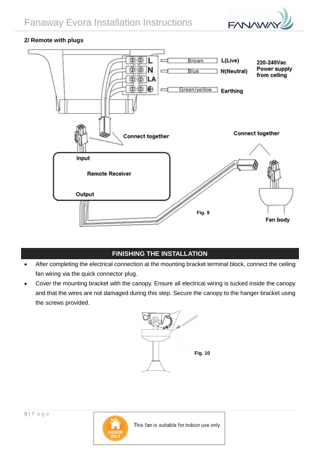

#### **2/ Remote with plugs**



# **FINISHING THE INSTALLATION**

- After completing the electrical connection at the mounting bracket terminal block, connect the ceiling fan wiring via the quick connector plug.
- Cover the mounting bracket with the canopy. Ensure all electrical wiring is tucked inside the canopy and that the wires are not damaged during this step. Secure the canopy to the hanger bracket using the screws provided.



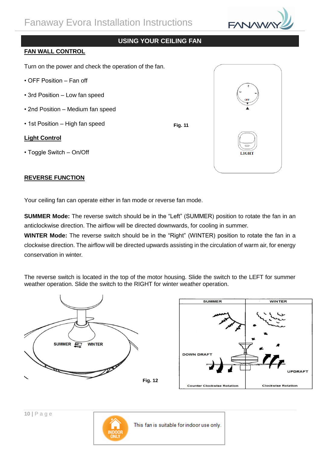

#### **USING YOUR CEILING FAN**

**Fig. 11**

#### **FAN WALL CONTROL**

Turn on the power and check the operation of the fan.

- OFF Position Fan off
- 3rd Position Low fan speed
- 2nd Position Medium fan speed
- 1st Position High fan speed

#### **Light Control**

• Toggle Switch – On/Off

#### **REVERSE FUNCTION**

Your ceiling fan can operate either in fan mode or reverse fan mode.

**SUMMER Mode:** The reverse switch should be in the "Left" (SUMMER) position to rotate the fan in an anticlockwise direction. The airflow will be directed downwards, for cooling in summer.

**WINTER Mode:** The reverse switch should be in the "Right" (WINTER) position to rotate the fan in a clockwise direction. The airflow will be directed upwards assisting in the circulation of warm air, for energy conservation in winter.

The reverse switch is located in the top of the motor housing. Slide the switch to the LEFT for summer weather operation. Slide the switch to the RIGHT for winter weather operation.









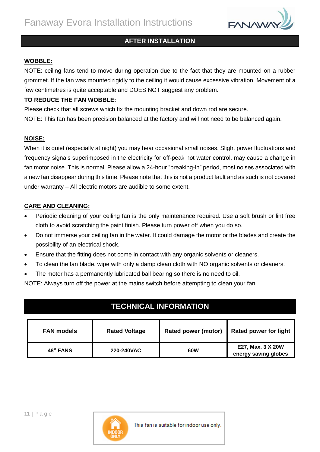

## **AFTER INSTALLATION**

#### **WOBBLE:**

NOTE: ceiling fans tend to move during operation due to the fact that they are mounted on a rubber grommet. If the fan was mounted rigidly to the ceiling it would cause excessive vibration. Movement of a few centimetres is quite acceptable and DOES NOT suggest any problem.

#### **TO REDUCE THE FAN WOBBLE:**

Please check that all screws which fix the mounting bracket and down rod are secure.

NOTE: This fan has been precision balanced at the factory and will not need to be balanced again.

#### **NOISE:**

When it is quiet (especially at night) you may hear occasional small noises. Slight power fluctuations and frequency signals superimposed in the electricity for off-peak hot water control, may cause a change in fan motor noise. This is normal. Please allow a 24-hour "breaking-in" period, most noises associated with a new fan disappear during this time. Please note that this is not a product fault and as such is not covered under warranty – All electric motors are audible to some extent.

#### **CARE AND CLEANING:**

- Periodic cleaning of your ceiling fan is the only maintenance required. Use a soft brush or lint free cloth to avoid scratching the paint finish. Please turn power off when you do so.
- Do not immerse your ceiling fan in the water. It could damage the motor or the blades and create the possibility of an electrical shock.
- Ensure that the fitting does not come in contact with any organic solvents or cleaners.
- To clean the fan blade, wipe with only a damp clean cloth with NO organic solvents or cleaners.
- The motor has a permanently lubricated ball bearing so there is no need to oil.

NOTE: Always turn off the power at the mains switch before attempting to clean your fan.

# **TECHNICAL INFORMATION**

| <b>FAN models</b> | <b>Rated Voltage</b> | Rated power (motor) | <b>Rated power for light</b>              |
|-------------------|----------------------|---------------------|-------------------------------------------|
| <b>48" FANS</b>   | 220-240VAC           | 60W                 | E27, Max. 3 X 20W<br>energy saving globes |

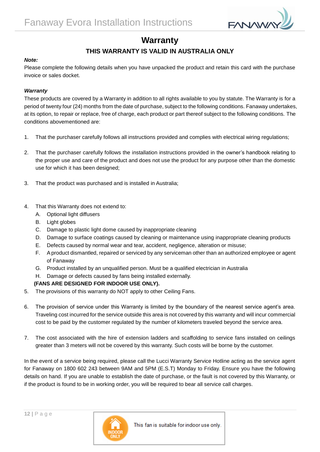

# **Warranty**

## **THIS WARRANTY IS VALID IN AUSTRALIA ONLY**

#### *Note:*

Please complete the following details when you have unpacked the product and retain this card with the purchase invoice or sales docket.

#### *Warranty*

These products are covered by a Warranty in addition to all rights available to you by statute. The Warranty is for a period of twenty four (24) months from the date of purchase, subject to the following conditions. Fanaway undertakes, at its option, to repair or replace, free of charge, each product or part thereof subject to the following conditions. The conditions abovementioned are:

- 1. That the purchaser carefully follows all instructions provided and complies with electrical wiring regulations;
- 2. That the purchaser carefully follows the installation instructions provided in the owner's handbook relating to the proper use and care of the product and does not use the product for any purpose other than the domestic use for which it has been designed;
- 3. That the product was purchased and is installed in Australia;
- 4. That this Warranty does not extend to:
	- A. Optional light diffusers
	- B. Light globes
	- C. Damage to plastic light dome caused by inappropriate cleaning
	- D. Damage to surface coatings caused by cleaning or maintenance using inappropriate cleaning products
	- E. Defects caused by normal wear and tear, accident, negligence, alteration or misuse;
	- F. A product dismantled, repaired or serviced by any serviceman other than an authorized employee or agent of Fanaway
	- G. Product installed by an unqualified person. Must be a qualified electrician in Australia
	- H. Damage or defects caused by fans being installed externally.

#### **(FANS ARE DESIGNED FOR INDOOR USE ONLY).**

- 5. The provisions of this warranty do NOT apply to other Ceiling Fans.
- 6. The provision of service under this Warranty is limited by the boundary of the nearest service agent's area. Traveling cost incurred for the service outside this area is not covered by this warranty and will incur commercial cost to be paid by the customer regulated by the number of kilometers traveled beyond the service area.
- 7. The cost associated with the hire of extension ladders and scaffolding to service fans installed on ceilings greater than 3 meters will not be covered by this warranty. Such costs will be borne by the customer.

In the event of a service being required, please call the Lucci Warranty Service Hotline acting as the service agent for Fanaway on 1800 602 243 between 9AM and 5PM (E.S.T) Monday to Friday. Ensure you have the following details on hand. If you are unable to establish the date of purchase, or the fault is not covered by this Warranty, or if the product is found to be in working order, you will be required to bear all service call charges.